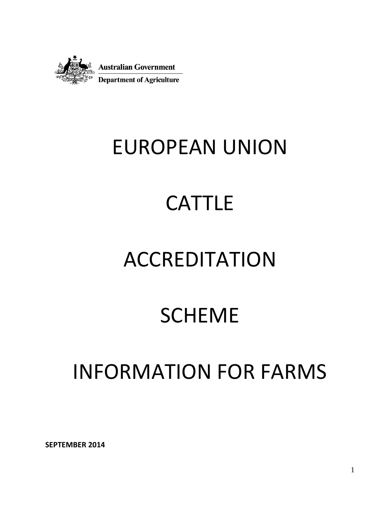

# EUROPEAN UNION

# **CATTLE**

# ACCREDITATION

## SCHEME

## INFORMATION FOR FARMS

**SEPTEMBER 2014**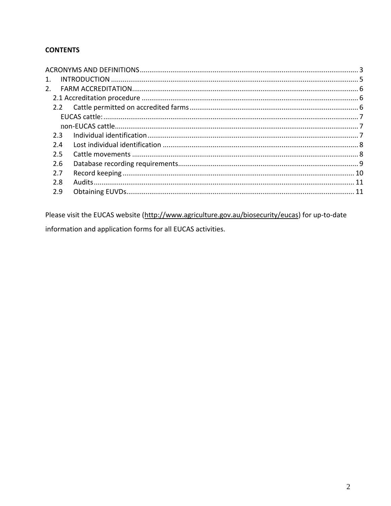### **CONTENTS**

| 1. |     |  |
|----|-----|--|
| 2. |     |  |
|    |     |  |
|    |     |  |
|    |     |  |
|    |     |  |
|    | 2.3 |  |
|    | 2.4 |  |
|    | 2.5 |  |
|    | 2.6 |  |
|    | 2.7 |  |
|    | 2.8 |  |
|    | 2.9 |  |
|    |     |  |

Please visit the EUCAS website (http://www.agriculture.gov.au/biosecurity/eucas) for up-to-date information and application forms for all EUCAS activities.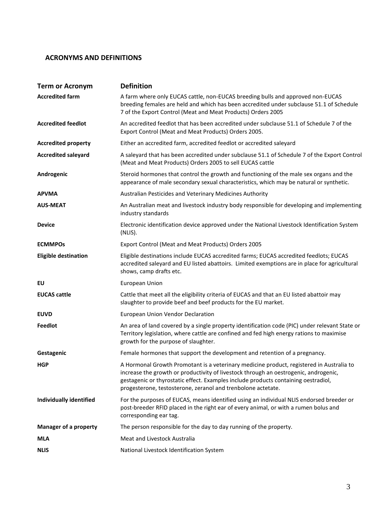#### <span id="page-2-0"></span>**ACRONYMS AND DEFINITIONS**

| <b>Term or Acronym</b>         | <b>Definition</b>                                                                                                                                                                                                                                                                                                                      |
|--------------------------------|----------------------------------------------------------------------------------------------------------------------------------------------------------------------------------------------------------------------------------------------------------------------------------------------------------------------------------------|
| <b>Accredited farm</b>         | A farm where only EUCAS cattle, non-EUCAS breeding bulls and approved non-EUCAS<br>breeding females are held and which has been accredited under subclause 51.1 of Schedule<br>7 of the Export Control (Meat and Meat Products) Orders 2005                                                                                            |
| <b>Accredited feedlot</b>      | An accredited feedlot that has been accredited under subclause 51.1 of Schedule 7 of the<br>Export Control (Meat and Meat Products) Orders 2005.                                                                                                                                                                                       |
| <b>Accredited property</b>     | Either an accredited farm, accredited feedlot or accredited saleyard                                                                                                                                                                                                                                                                   |
| <b>Accredited saleyard</b>     | A saleyard that has been accredited under subclause 51.1 of Schedule 7 of the Export Control<br>(Meat and Meat Products) Orders 2005 to sell EUCAS cattle                                                                                                                                                                              |
| Androgenic                     | Steroid hormones that control the growth and functioning of the male sex organs and the<br>appearance of male secondary sexual characteristics, which may be natural or synthetic.                                                                                                                                                     |
| <b>APVMA</b>                   | Australian Pesticides and Veterinary Medicines Authority                                                                                                                                                                                                                                                                               |
| <b>AUS-MEAT</b>                | An Australian meat and livestock industry body responsible for developing and implementing<br>industry standards                                                                                                                                                                                                                       |
| <b>Device</b>                  | Electronic identification device approved under the National Livestock Identification System<br>(NLIS).                                                                                                                                                                                                                                |
| <b>ECMMPOs</b>                 | Export Control (Meat and Meat Products) Orders 2005                                                                                                                                                                                                                                                                                    |
| <b>Eligible destination</b>    | Eligible destinations include EUCAS accredited farms; EUCAS accredited feedlots; EUCAS<br>accredited saleyard and EU listed abattoirs. Limited exemptions are in place for agricultural<br>shows, camp drafts etc.                                                                                                                     |
| EU                             | <b>European Union</b>                                                                                                                                                                                                                                                                                                                  |
| <b>EUCAS cattle</b>            | Cattle that meet all the eligibility criteria of EUCAS and that an EU listed abattoir may<br>slaughter to provide beef and beef products for the EU market.                                                                                                                                                                            |
| <b>EUVD</b>                    | European Union Vendor Declaration                                                                                                                                                                                                                                                                                                      |
| Feedlot                        | An area of land covered by a single property identification code (PIC) under relevant State or<br>Territory legislation, where cattle are confined and fed high energy rations to maximise<br>growth for the purpose of slaughter.                                                                                                     |
| Gestagenic                     | Female hormones that support the development and retention of a pregnancy.                                                                                                                                                                                                                                                             |
| <b>HGP</b>                     | A Hormonal Growth Promotant is a veterinary medicine product, registered in Australia to<br>increase the growth or productivity of livestock through an oestrogenic, androgenic,<br>gestagenic or thyrostatic effect. Examples include products containing oestradiol,<br>progesterone, testosterone, zeranol and trenbolone actetate. |
| <b>Individually identified</b> | For the purposes of EUCAS, means identified using an individual NLIS endorsed breeder or<br>post-breeder RFID placed in the right ear of every animal, or with a rumen bolus and<br>corresponding ear tag.                                                                                                                             |
| <b>Manager of a property</b>   | The person responsible for the day to day running of the property.                                                                                                                                                                                                                                                                     |
| <b>MLA</b>                     | Meat and Livestock Australia                                                                                                                                                                                                                                                                                                           |
| <b>NLIS</b>                    | National Livestock Identification System                                                                                                                                                                                                                                                                                               |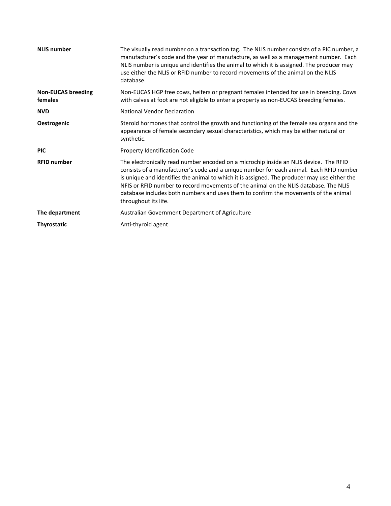| <b>NLIS number</b>                   | The visually read number on a transaction tag. The NLIS number consists of a PIC number, a<br>manufacturer's code and the year of manufacture, as well as a management number. Each<br>NLIS number is unique and identifies the animal to which it is assigned. The producer may<br>use either the NLIS or RFID number to record movements of the animal on the NLIS<br>database.                                                                                                       |
|--------------------------------------|-----------------------------------------------------------------------------------------------------------------------------------------------------------------------------------------------------------------------------------------------------------------------------------------------------------------------------------------------------------------------------------------------------------------------------------------------------------------------------------------|
| <b>Non-EUCAS breeding</b><br>females | Non-EUCAS HGP free cows, heifers or pregnant females intended for use in breeding. Cows<br>with calves at foot are not eligible to enter a property as non-EUCAS breeding females.                                                                                                                                                                                                                                                                                                      |
| <b>NVD</b>                           | <b>National Vendor Declaration</b>                                                                                                                                                                                                                                                                                                                                                                                                                                                      |
| Oestrogenic                          | Steroid hormones that control the growth and functioning of the female sex organs and the<br>appearance of female secondary sexual characteristics, which may be either natural or<br>synthetic.                                                                                                                                                                                                                                                                                        |
| <b>PIC</b>                           | Property Identification Code                                                                                                                                                                                                                                                                                                                                                                                                                                                            |
| <b>RFID number</b>                   | The electronically read number encoded on a microchip inside an NLIS device. The RFID<br>consists of a manufacturer's code and a unique number for each animal. Each RFID number<br>is unique and identifies the animal to which it is assigned. The producer may use either the<br>NFIS or RFID number to record movements of the animal on the NLIS database. The NLIS<br>database includes both numbers and uses them to confirm the movements of the animal<br>throughout its life. |
| The department                       | Australian Government Department of Agriculture                                                                                                                                                                                                                                                                                                                                                                                                                                         |
| <b>Thyrostatic</b>                   | Anti-thyroid agent                                                                                                                                                                                                                                                                                                                                                                                                                                                                      |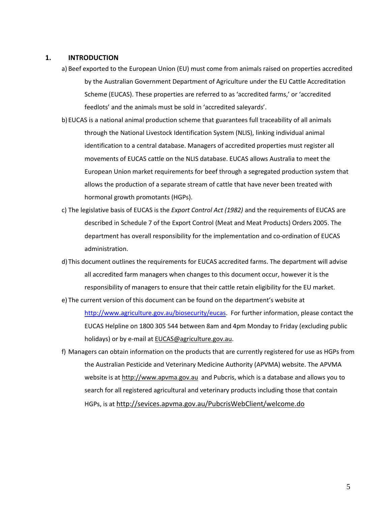#### <span id="page-4-0"></span>**1. INTRODUCTION**

- a) Beef exported to the European Union (EU) must come from animals raised on properties accredited by the Australian Government Department of Agriculture under the EU Cattle Accreditation Scheme (EUCAS). These properties are referred to as 'accredited farms,' or 'accredited feedlots' and the animals must be sold in 'accredited saleyards'.
- b)EUCAS is a national animal production scheme that guarantees full traceability of all animals through the National Livestock Identification System (NLIS), linking individual animal identification to a central database. Managers of accredited properties must register all movements of EUCAS cattle on the NLIS database. EUCAS allows Australia to meet the European Union market requirements for beef through a segregated production system that allows the production of a separate stream of cattle that have never been treated with hormonal growth promotants (HGPs).
- c) The legislative basis of EUCAS is the *Export Control Act (1982)* and the requirements of EUCAS are described in Schedule 7 of the Export Control (Meat and Meat Products) Orders 2005. The department has overall responsibility for the implementation and co-ordination of EUCAS administration.
- d)This document outlines the requirements for EUCAS accredited farms. The department will advise all accredited farm managers when changes to this document occur, however it is the responsibility of managers to ensure that their cattle retain eligibility for the EU market.
- e) The current version of this document can be found on the department's website at [http://www.agriculture.gov.au/biosecurity/eucas.](http://www.agriculture.gov.au/biosecurity/eucas) For further information, please contact the EUCAS Helpline on 1800 305 544 between 8am and 4pm Monday to Friday (excluding public holidays) or by e-mail a[t EUCAS@agriculture.gov.au.](mailto:EUCAS@agriculture.gov.au)
- f) Managers can obtain information on the products that are currently registered for use as HGPs from the Australian Pesticide and Veterinary Medicine Authority (APVMA) website. The APVMA website is a[t http://www.apvma.gov.au](http://www.apvma.gov.au/) and Pubcris, which is a database and allows you to search for all registered agricultural and veterinary products including those that contain HGPs, is at <http://sevices.apvma.gov.au/PubcrisWebClient/welcome.do>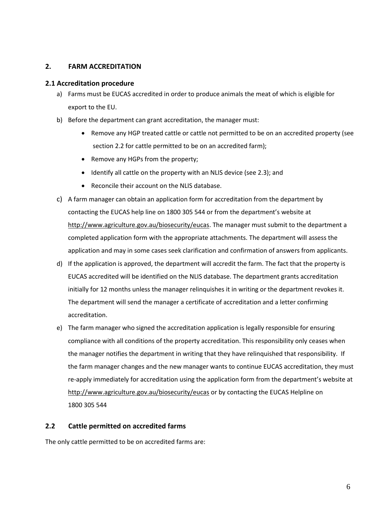#### <span id="page-5-0"></span>**2. FARM ACCREDITATION**

#### <span id="page-5-1"></span>**2.1 Accreditation procedure**

- a) Farms must be EUCAS accredited in order to produce animals the meat of which is eligible for export to the EU.
- b) Before the department can grant accreditation, the manager must:
	- Remove any HGP treated cattle or cattle not permitted to be on an accredited property (see section 2.2 for cattle permitted to be on an accredited farm);
	- Remove any HGPs from the property;
	- Identify all cattle on the property with an NLIS device (see 2.3); and
	- Reconcile their account on the NLIS database.
- c) A farm manager can obtain an application form for accreditation from the department by contacting the EUCAS help line on 1800 305 544 or from the department's website at [http://www.agriculture.gov.au/biosecurity/eucas.](http://www.agriculture.gov.au/biosecurity/eucas) The manager must submit to the department a completed application form with the appropriate attachments. The department will assess the application and may in some cases seek clarification and confirmation of answers from applicants.
- d) If the application is approved, the department will accredit the farm. The fact that the property is EUCAS accredited will be identified on the NLIS database. The department grants accreditation initially for 12 months unless the manager relinquishes it in writing or the department revokes it. The department will send the manager a certificate of accreditation and a letter confirming accreditation.
- e) The farm manager who signed the accreditation application is legally responsible for ensuring compliance with all conditions of the property accreditation. This responsibility only ceases when the manager notifies the department in writing that they have relinquished that responsibility. If the farm manager changes and the new manager wants to continue EUCAS accreditation, they must re-apply immediately for accreditation using the application form from the department's website at <http://www.agriculture.gov.au/biosecurity/eucas> or by contacting the EUCAS Helpline on 1800 305 544

#### <span id="page-5-2"></span>**2.2 Cattle permitted on accredited farms**

The only cattle permitted to be on accredited farms are: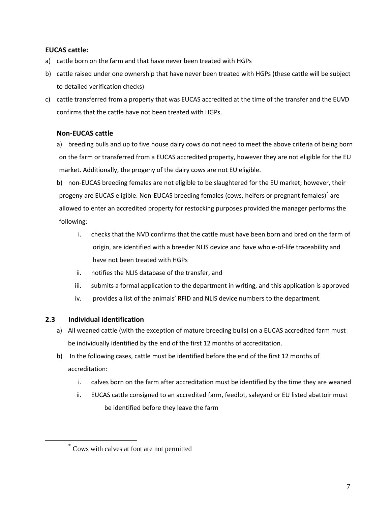### <span id="page-6-0"></span>**EUCAS cattle:**

- a) cattle born on the farm and that have never been treated with HGPs
- b) cattle raised under one ownership that have never been treated with HGPs (these cattle will be subject to detailed verification checks)
- c) cattle transferred from a property that was EUCAS accredited at the time of the transfer and the EUVD confirms that the cattle have not been treated with HGPs.

### <span id="page-6-1"></span>**Non-EUCAS cattle**

a) breeding bulls and up to five house dairy cows do not need to meet the above criteria of being born on the farm or transferred from a EUCAS accredited property, however they are not eligible for the EU market. Additionally, the progeny of the dairy cows are not EU eligible.

b) non-EUCAS breeding females are not eligible to be slaughtered for the EU market; however, their progeny are EUCAS eligible. Non-EUCAS breeding females (cows, heifers or pregnant females)\* are allowed to enter an accredited property for restocking purposes provided the manager performs the following:

- i. checks that the NVD confirms that the cattle must have been born and bred on the farm of origin, are identified with a breeder NLIS device and have whole-of-life traceability and have not been treated with HGPs
- ii. notifies the NLIS database of the transfer, and
- iii. submits a formal application to the department in writing, and this application is approved
- iv. provides a list of the animals' RFID and NLIS device numbers to the department.

#### <span id="page-6-2"></span>**2.3 Individual identification**

 $\overline{a}$ 

- a) All weaned cattle (with the exception of mature breeding bulls) on a EUCAS accredited farm must be individually identified by the end of the first 12 months of accreditation.
- b) In the following cases, cattle must be identified before the end of the first 12 months of accreditation:
	- i. calves born on the farm after accreditation must be identified by the time they are weaned
	- ii. EUCAS cattle consigned to an accredited farm, feedlot, saleyard or EU listed abattoir must be identified before they leave the farm

<sup>\*</sup> Cows with calves at foot are not permitted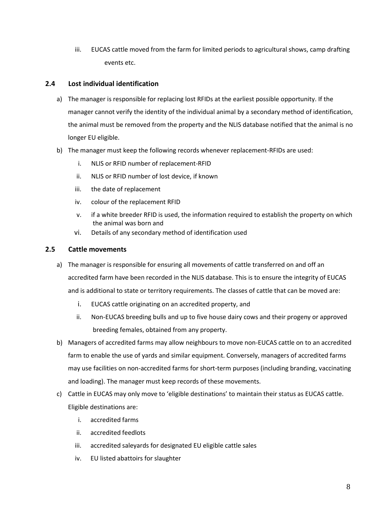iii. EUCAS cattle moved from the farm for limited periods to agricultural shows, camp drafting events etc.

### <span id="page-7-0"></span>**2.4 Lost individual identification**

- a) The manager is responsible for replacing lost RFIDs at the earliest possible opportunity. If the manager cannot verify the identity of the individual animal by a secondary method of identification, the animal must be removed from the property and the NLIS database notified that the animal is no longer EU eligible.
- b) The manager must keep the following records whenever replacement-RFIDs are used:
	- i. NLIS or RFID number of replacement-RFID
	- ii. NLIS or RFID number of lost device, if known
	- iii. the date of replacement
	- iv. colour of the replacement RFID
	- v. if a white breeder RFID is used, the information required to establish the property on which the animal was born and
	- vi. Details of any secondary method of identification used

#### <span id="page-7-1"></span>**2.5 Cattle movements**

- a) The manager is responsible for ensuring all movements of cattle transferred on and off an accredited farm have been recorded in the NLIS database. This is to ensure the integrity of EUCAS and is additional to state or territory requirements. The classes of cattle that can be moved are:
	- i. EUCAS cattle originating on an accredited property, and
	- ii. Non-EUCAS breeding bulls and up to five house dairy cows and their progeny or approved breeding females, obtained from any property.
- b) Managers of accredited farms may allow neighbours to move non-EUCAS cattle on to an accredited farm to enable the use of yards and similar equipment. Conversely, managers of accredited farms may use facilities on non-accredited farms for short-term purposes (including branding, vaccinating and loading). The manager must keep records of these movements.
- c) Cattle in EUCAS may only move to 'eligible destinations' to maintain their status as EUCAS cattle. Eligible destinations are:
	- i. accredited farms
	- ii. accredited feedlots
	- iii. accredited saleyards for designated EU eligible cattle sales
	- iv. EU listed abattoirs for slaughter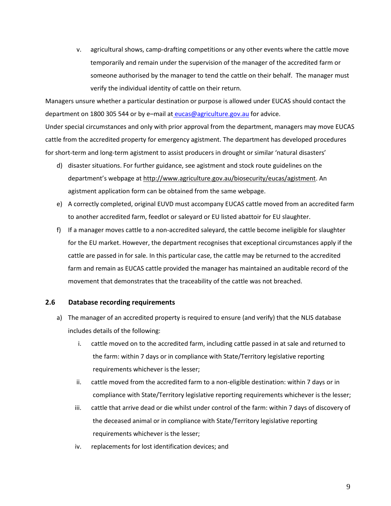v. agricultural shows, camp-drafting competitions or any other events where the cattle move temporarily and remain under the supervision of the manager of the accredited farm or someone authorised by the manager to tend the cattle on their behalf. The manager must verify the individual identity of cattle on their return.

Managers unsure whether a particular destination or purpose is allowed under EUCAS should contact the department on 1800 305 544 or by e–mail at [eucas@agriculture.gov.au](mailto:%20eucas@agriculture.gov.au) for advice.

Under special circumstances and only with prior approval from the department, managers may move EUCAS cattle from the accredited property for emergency agistment. The department has developed procedures for short-term and long-term agistment to assist producers in drought or similar 'natural disasters'

- d) disaster situations. For further guidance, see agistment and stock route guidelines on the department's webpage at [http://www.agriculture.gov.au/biosecurity/eucas/agistment.](http://www.agriculture.gov.au/biosecurity/eucas/agistment) An agistment application form can be obtained from the same webpage.
- e) A correctly completed, original EUVD must accompany EUCAS cattle moved from an accredited farm to another accredited farm, feedlot or saleyard or EU listed abattoir for EU slaughter.
- f) If a manager moves cattle to a non-accredited saleyard, the cattle become ineligible for slaughter for the EU market. However, the department recognises that exceptional circumstances apply if the cattle are passed in for sale. In this particular case, the cattle may be returned to the accredited farm and remain as EUCAS cattle provided the manager has maintained an auditable record of the movement that demonstrates that the traceability of the cattle was not breached.

#### <span id="page-8-0"></span>**2.6 Database recording requirements**

- a) The manager of an accredited property is required to ensure (and verify) that the NLIS database includes details of the following:
	- i. cattle moved on to the accredited farm, including cattle passed in at sale and returned to the farm: within 7 days or in compliance with State/Territory legislative reporting requirements whichever is the lesser;
	- ii. cattle moved from the accredited farm to a non-eligible destination: within 7 days or in compliance with State/Territory legislative reporting requirements whichever is the lesser;
	- iii. cattle that arrive dead or die whilst under control of the farm: within 7 days of discovery of the deceased animal or in compliance with State/Territory legislative reporting requirements whichever is the lesser;
	- iv. replacements for lost identification devices; and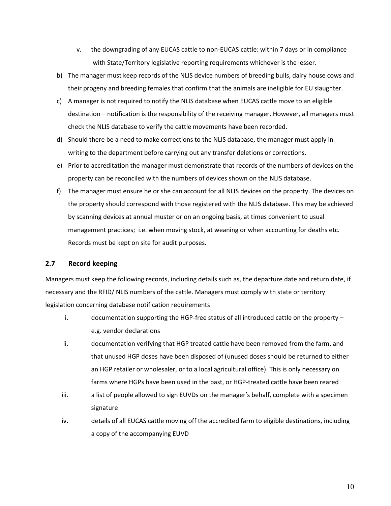- v. the downgrading of any EUCAS cattle to non-EUCAS cattle: within 7 days or in compliance with State/Territory legislative reporting requirements whichever is the lesser.
- b) The manager must keep records of the NLIS device numbers of breeding bulls, dairy house cows and their progeny and breeding females that confirm that the animals are ineligible for EU slaughter.
- c) A manager is not required to notify the NLIS database when EUCAS cattle move to an eligible destination – notification is the responsibility of the receiving manager. However, all managers must check the NLIS database to verify the cattle movements have been recorded.
- d) Should there be a need to make corrections to the NLIS database, the manager must apply in writing to the department before carrying out any transfer deletions or corrections.
- e) Prior to accreditation the manager must demonstrate that records of the numbers of devices on the property can be reconciled with the numbers of devices shown on the NLIS database.
- f) The manager must ensure he or she can account for all NLIS devices on the property. The devices on the property should correspond with those registered with the NLIS database. This may be achieved by scanning devices at annual muster or on an ongoing basis, at times convenient to usual management practices; i.e. when moving stock, at weaning or when accounting for deaths etc. Records must be kept on site for audit purposes.

#### <span id="page-9-0"></span>**2.7 Record keeping**

Managers must keep the following records, including details such as, the departure date and return date, if necessary and the RFID/ NLIS numbers of the cattle. Managers must comply with state or territory legislation concerning database notification requirements

- i. documentation supporting the HGP-free status of all introduced cattle on the property e.g. vendor declarations
- ii. documentation verifying that HGP treated cattle have been removed from the farm, and that unused HGP doses have been disposed of (unused doses should be returned to either an HGP retailer or wholesaler, or to a local agricultural office). This is only necessary on farms where HGPs have been used in the past, or HGP-treated cattle have been reared
- iii. a list of people allowed to sign EUVDs on the manager's behalf, complete with a specimen signature
- iv. details of all EUCAS cattle moving off the accredited farm to eligible destinations, including a copy of the accompanying EUVD